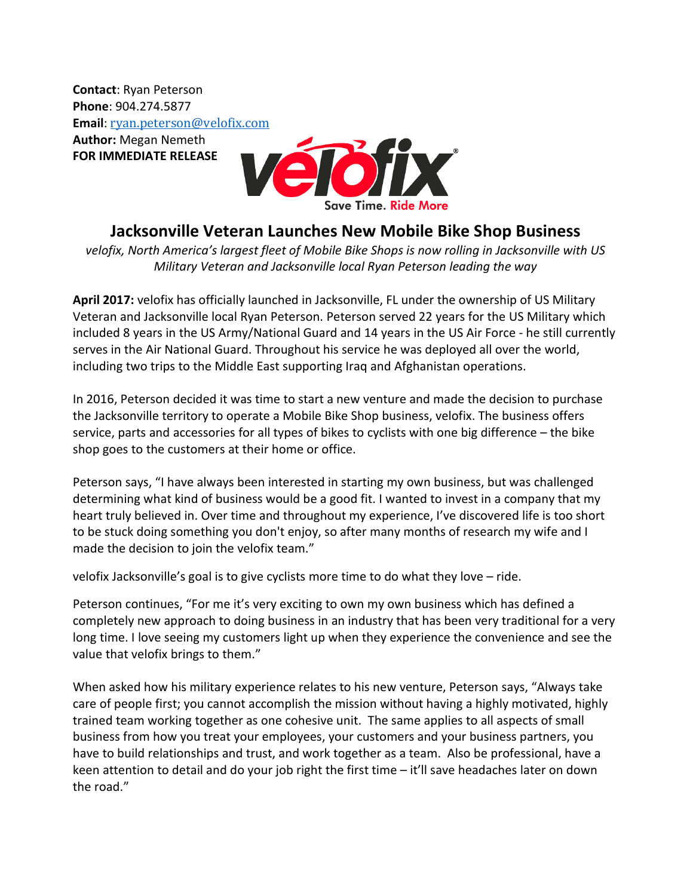**Contact**: Ryan Peterson **Phone**: 904.274.5877 **Email**: [ryan.peterson@velofix.com](mailto:ryan.peterson@velofix.com) **Author:** Megan Nemeth **FOR IMMEDIATE RELEASE**



## **Jacksonville Veteran Launches New Mobile Bike Shop Business**

*velofix, North America's largest fleet of Mobile Bike Shops is now rolling in Jacksonville with US Military Veteran and Jacksonville local Ryan Peterson leading the way*

**April 2017:** velofix has officially launched in Jacksonville, FL under the ownership of US Military Veteran and Jacksonville local Ryan Peterson. Peterson served 22 years for the US Military which included 8 years in the US Army/National Guard and 14 years in the US Air Force - he still currently serves in the Air National Guard. Throughout his service he was deployed all over the world, including two trips to the Middle East supporting Iraq and Afghanistan operations.

In 2016, Peterson decided it was time to start a new venture and made the decision to purchase the Jacksonville territory to operate a Mobile Bike Shop business, velofix. The business offers service, parts and accessories for all types of bikes to cyclists with one big difference – the bike shop goes to the customers at their home or office.

Peterson says, "I have always been interested in starting my own business, but was challenged determining what kind of business would be a good fit. I wanted to invest in a company that my heart truly believed in. Over time and throughout my experience, I've discovered life is too short to be stuck doing something you don't enjoy, so after many months of research my wife and I made the decision to join the velofix team."

velofix Jacksonville's goal is to give cyclists more time to do what they love – ride.

Peterson continues, "For me it's very exciting to own my own business which has defined a completely new approach to doing business in an industry that has been very traditional for a very long time. I love seeing my customers light up when they experience the convenience and see the value that velofix brings to them."

When asked how his military experience relates to his new venture, Peterson says, "Always take care of people first; you cannot accomplish the mission without having a highly motivated, highly trained team working together as one cohesive unit. The same applies to all aspects of small business from how you treat your employees, your customers and your business partners, you have to build relationships and trust, and work together as a team. Also be professional, have a keen attention to detail and do your job right the first time – it'll save headaches later on down the road."